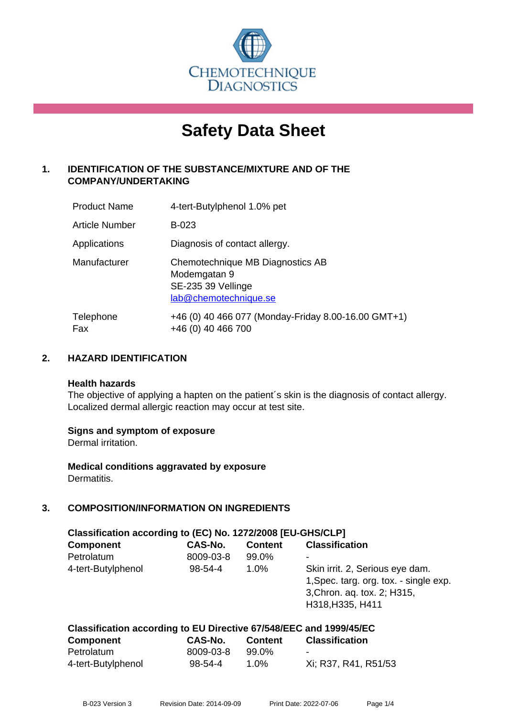

# **Safety Data Sheet**

# **1. IDENTIFICATION OF THE SUBSTANCE/MIXTURE AND OF THE COMPANY/UNDERTAKING**

| <b>Product Name</b> | 4-tert-Butylphenol 1.0% pet                                                                     |
|---------------------|-------------------------------------------------------------------------------------------------|
| Article Number      | B-023                                                                                           |
| Applications        | Diagnosis of contact allergy.                                                                   |
| Manufacturer        | Chemotechnique MB Diagnostics AB<br>Modemgatan 9<br>SE-235 39 Vellinge<br>lab@chemotechnique.se |
| Telephone<br>Fax    | +46 (0) 40 466 077 (Monday-Friday 8.00-16.00 GMT+1)<br>+46 (0) 40 466 700                       |

#### **2. HAZARD IDENTIFICATION**

#### **Health hazards**

The objective of applying a hapten on the patient's skin is the diagnosis of contact allergy. Localized dermal allergic reaction may occur at test site.

#### **Signs and symptom of exposure**

Dermal irritation.

**Medical conditions aggravated by exposure** Dermatitis.

# **3. COMPOSITION/INFORMATION ON INGREDIENTS**

| Classification according to (EC) No. 1272/2008 [EU-GHS/CLP]         |               |                |                                                                                                                              |  |
|---------------------------------------------------------------------|---------------|----------------|------------------------------------------------------------------------------------------------------------------------------|--|
| <b>Component</b>                                                    | CAS-No.       | <b>Content</b> | <b>Classification</b>                                                                                                        |  |
| Petrolatum                                                          | 8009-03-8     | 99.0%          | -                                                                                                                            |  |
| 4-tert-Butylphenol                                                  | $98 - 54 - 4$ | $1.0\%$        | Skin irrit. 2, Serious eye dam.<br>1, Spec. targ. org. tox. - single exp.<br>3, Chron. aq. tox. 2; H315,<br>H318, H335, H411 |  |
| Classification according to ELI Directive 67/548/FEC and 1999/45/FC |               |                |                                                                                                                              |  |

| <b>Component</b>   | <b>CAS-No.</b> | <b>Content</b> | <b>Classification</b> |  |
|--------------------|----------------|----------------|-----------------------|--|
| Petrolatum         | 8009-03-8      | 99.0%          | $\blacksquare$        |  |
| 4-tert-Butylphenol | 98-54-4        | 1.0%           | Xi; R37, R41, R51/53  |  |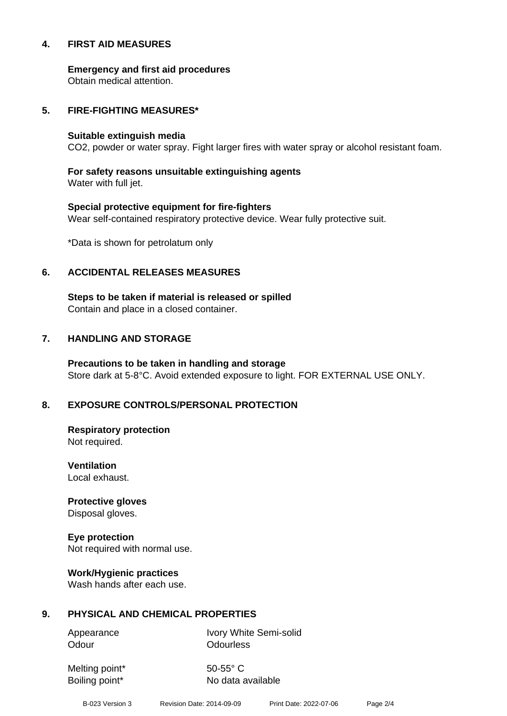#### **4. FIRST AID MEASURES**

**Emergency and first aid procedures**

Obtain medical attention.

#### **5. FIRE-FIGHTING MEASURES\***

#### **Suitable extinguish media**

CO2, powder or water spray. Fight larger fires with water spray or alcohol resistant foam.

# **For safety reasons unsuitable extinguishing agents**

Water with full jet.

# **Special protective equipment for fire-fighters** Wear self-contained respiratory protective device. Wear fully protective suit.

\*Data is shown for petrolatum only

### **6. ACCIDENTAL RELEASES MEASURES**

**Steps to be taken if material is released or spilled** Contain and place in a closed container.

# **7. HANDLING AND STORAGE**

**Precautions to be taken in handling and storage** Store dark at 5-8°C. Avoid extended exposure to light. FOR EXTERNAL USE ONLY.

# **8. EXPOSURE CONTROLS/PERSONAL PROTECTION**

**Respiratory protection** Not required.

**Ventilation** Local exhaust.

**Protective gloves** Disposal gloves.

# **Eye protection**

Not required with normal use.

#### **Work/Hygienic practices**

Wash hands after each use.

#### **9. PHYSICAL AND CHEMICAL PROPERTIES**

Odour **Odourless** 

Appearance Ivory White Semi-solid

Melting point\* 50-55° C

Boiling point\* No data available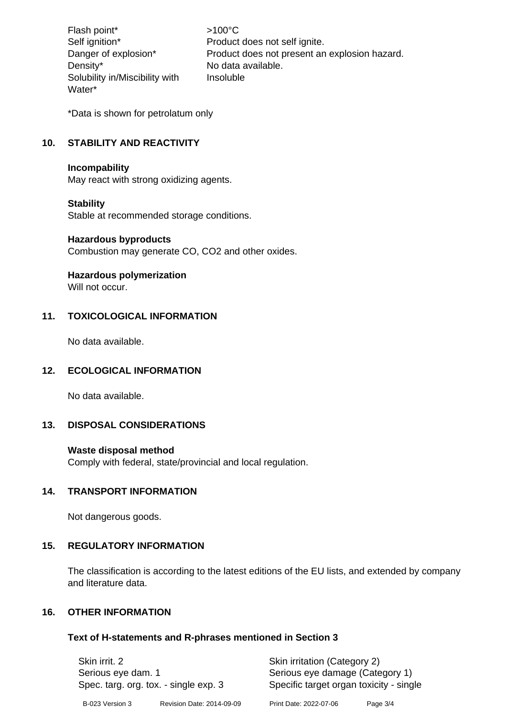Flash point\* >100°C Density\* No data available. Solubility in/Miscibility with Water\*

Self ignition\* Product does not self ignite. Danger of explosion\* Product does not present an explosion hazard. Insoluble

\*Data is shown for petrolatum only

# **10. STABILITY AND REACTIVITY**

#### **Incompability**

May react with strong oxidizing agents.

#### **Stability**

Stable at recommended storage conditions.

#### **Hazardous byproducts**

Combustion may generate CO, CO2 and other oxides.

#### **Hazardous polymerization**

Will not occur.

#### **11. TOXICOLOGICAL INFORMATION**

No data available.

#### **12. ECOLOGICAL INFORMATION**

No data available.

#### **13. DISPOSAL CONSIDERATIONS**

#### **Waste disposal method**

Comply with federal, state/provincial and local regulation.

#### **14. TRANSPORT INFORMATION**

Not dangerous goods.

#### **15. REGULATORY INFORMATION**

The classification is according to the latest editions of the EU lists, and extended by company and literature data.

#### **16. OTHER INFORMATION**

#### **Text of H-statements and R-phrases mentioned in Section 3**

| Skin irrit, 2<br>Serious eye dam. 1<br>Spec. targ. org. tox. - single exp. 3 |                           | Skin irritation (Category 2)<br>Serious eye damage (Category 1)<br>Specific target organ toxicity - single |          |
|------------------------------------------------------------------------------|---------------------------|------------------------------------------------------------------------------------------------------------|----------|
| B-023 Version 3                                                              | Revision Date: 2014-09-09 | Print Date: 2022-07-06                                                                                     | Page 3/4 |